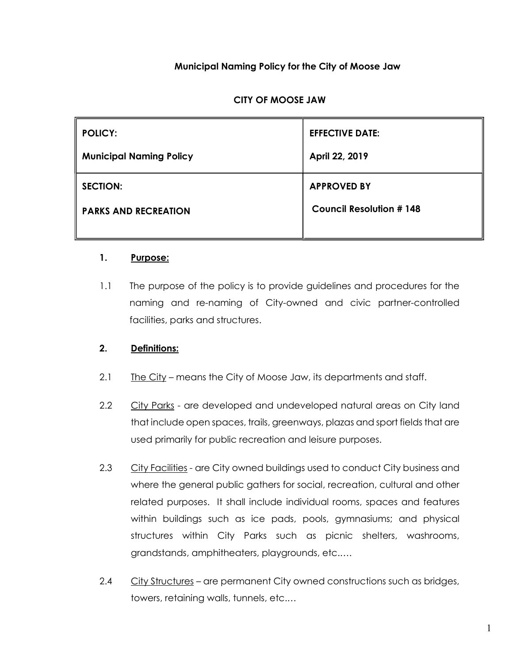## Municipal Naming Policy for the City of Moose Jaw

## CITY OF MOOSE JAW

| <b>POLICY:</b>                 | <b>EFFECTIVE DATE:</b>         |
|--------------------------------|--------------------------------|
| <b>Municipal Naming Policy</b> | April 22, 2019                 |
| <b>SECTION:</b>                | <b>APPROVED BY</b>             |
| <b>PARKS AND RECREATION</b>    | <b>Council Resolution #148</b> |
|                                |                                |

#### 1. Purpose:

1.1 The purpose of the policy is to provide guidelines and procedures for the naming and re-naming of City-owned and civic partner-controlled facilities, parks and structures.

#### 2. Definitions:

- 2.1  $The City means the City of Moore Jaw, its departments and staff.$
- 2.2 City Parks are developed and undeveloped natural areas on City land that include open spaces, trails, greenways, plazas and sport fields that are used primarily for public recreation and leisure purposes.
- 2.3 City Facilities are City owned buildings used to conduct City business and where the general public gathers for social, recreation, cultural and other related purposes. It shall include individual rooms, spaces and features within buildings such as ice pads, pools, gymnasiums; and physical structures within City Parks such as picnic shelters, washrooms, grandstands, amphitheaters, playgrounds, etc.….
- 2.4 City Structures are permanent City owned constructions such as bridges, towers, retaining walls, tunnels, etc.…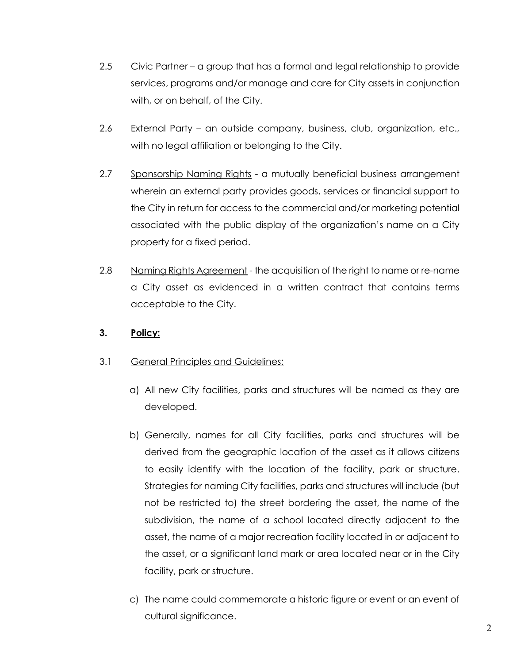- 2.5 Civic Partner a group that has a formal and legal relationship to provide services, programs and/or manage and care for City assets in conjunction with, or on behalf, of the City.
- 2.6 External Party an outside company, business, club, organization, etc., with no legal affiliation or belonging to the City.
- 2.7 Sponsorship Naming Rights a mutually beneficial business arrangement wherein an external party provides goods, services or financial support to the City in return for access to the commercial and/or marketing potential associated with the public display of the organization's name on a City property for a fixed period.
- 2.8 Naming Rights Agreement the acquisition of the right to name or re-name a City asset as evidenced in a written contract that contains terms acceptable to the City.

# 3. Policy:

- 3.1 General Principles and Guidelines:
	- a) All new City facilities, parks and structures will be named as they are developed.
	- b) Generally, names for all City facilities, parks and structures will be derived from the geographic location of the asset as it allows citizens to easily identify with the location of the facility, park or structure. Strategies for naming City facilities, parks and structures will include (but not be restricted to) the street bordering the asset, the name of the subdivision, the name of a school located directly adjacent to the asset, the name of a major recreation facility located in or adjacent to the asset, or a significant land mark or area located near or in the City facility, park or structure.
	- c) The name could commemorate a historic figure or event or an event of cultural significance.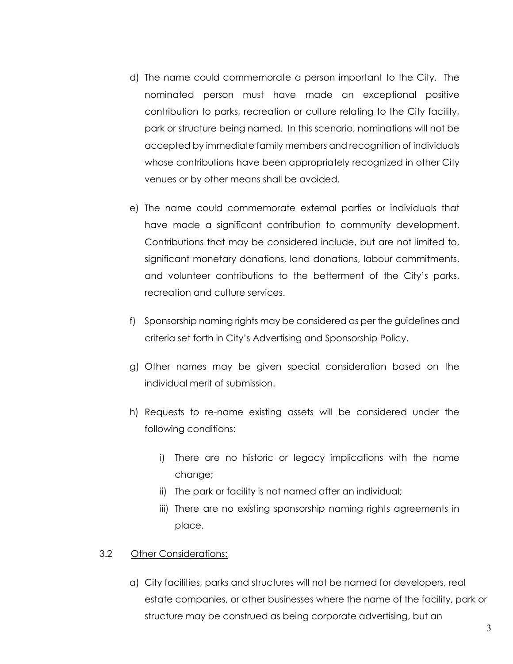- d) The name could commemorate a person important to the City. The nominated person must have made an exceptional positive contribution to parks, recreation or culture relating to the City facility, park or structure being named. In this scenario, nominations will not be accepted by immediate family members and recognition of individuals whose contributions have been appropriately recognized in other City venues or by other means shall be avoided.
- e) The name could commemorate external parties or individuals that have made a significant contribution to community development. Contributions that may be considered include, but are not limited to, significant monetary donations, land donations, labour commitments, and volunteer contributions to the betterment of the City's parks, recreation and culture services.
- f) Sponsorship naming rights may be considered as per the guidelines and criteria set forth in City's Advertising and Sponsorship Policy.
- g) Other names may be given special consideration based on the individual merit of submission.
- h) Requests to re-name existing assets will be considered under the following conditions:
	- i) There are no historic or legacy implications with the name change;
	- ii) The park or facility is not named after an individual;
	- iii) There are no existing sponsorship naming rights agreements in place.

#### 3.2 Other Considerations:

a) City facilities, parks and structures will not be named for developers, real estate companies, or other businesses where the name of the facility, park or structure may be construed as being corporate advertising, but an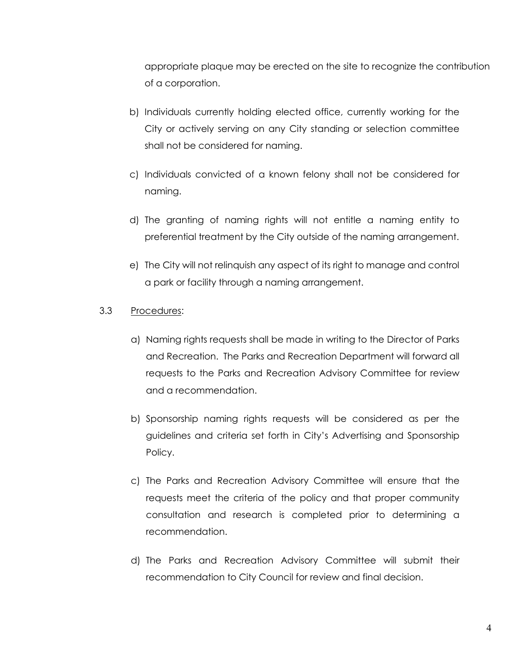appropriate plaque may be erected on the site to recognize the contribution of a corporation.

- b) Individuals currently holding elected office, currently working for the City or actively serving on any City standing or selection committee shall not be considered for naming.
- c) Individuals convicted of a known felony shall not be considered for naming.
- d) The granting of naming rights will not entitle a naming entity to preferential treatment by the City outside of the naming arrangement.
- e) The City will not relinquish any aspect of its right to manage and control a park or facility through a naming arrangement.
- 3.3 Procedures:
	- a) Naming rights requests shall be made in writing to the Director of Parks and Recreation. The Parks and Recreation Department will forward all requests to the Parks and Recreation Advisory Committee for review and a recommendation.
	- b) Sponsorship naming rights requests will be considered as per the guidelines and criteria set forth in City's Advertising and Sponsorship Policy.
	- c) The Parks and Recreation Advisory Committee will ensure that the requests meet the criteria of the policy and that proper community consultation and research is completed prior to determining a recommendation.
	- d) The Parks and Recreation Advisory Committee will submit their recommendation to City Council for review and final decision.